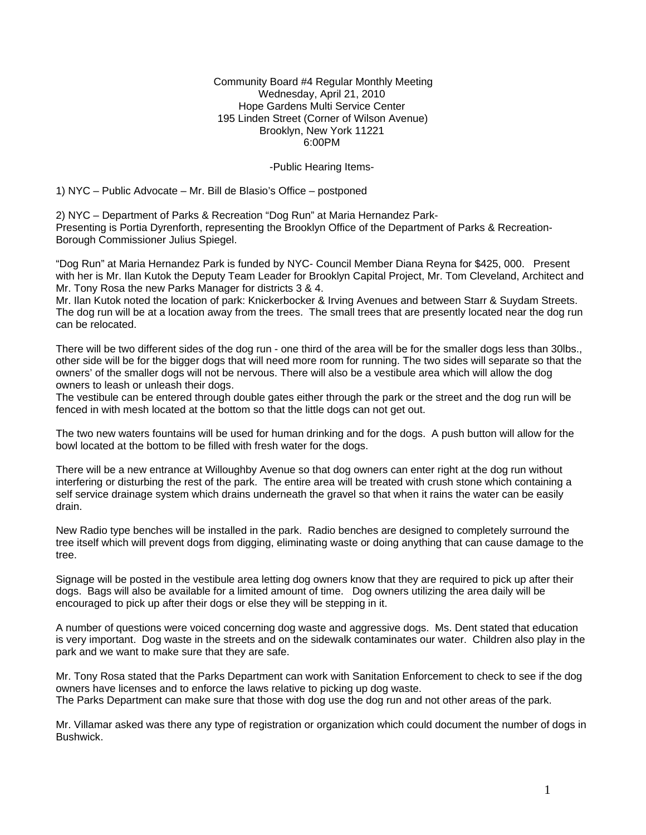Community Board #4 Regular Monthly Meeting Wednesday, April 21, 2010 Hope Gardens Multi Service Center 195 Linden Street (Corner of Wilson Avenue) Brooklyn, New York 11221 6:00PM

#### -Public Hearing Items-

1) NYC – Public Advocate – Mr. Bill de Blasio's Office – postponed

2) NYC – Department of Parks & Recreation "Dog Run" at Maria Hernandez Park-Presenting is Portia Dyrenforth, representing the Brooklyn Office of the Department of Parks & Recreation-Borough Commissioner Julius Spiegel.

"Dog Run" at Maria Hernandez Park is funded by NYC- Council Member Diana Reyna for \$425, 000. Present with her is Mr. Ilan Kutok the Deputy Team Leader for Brooklyn Capital Project, Mr. Tom Cleveland, Architect and Mr. Tony Rosa the new Parks Manager for districts 3 & 4.

Mr. Ilan Kutok noted the location of park: Knickerbocker & Irving Avenues and between Starr & Suydam Streets. The dog run will be at a location away from the trees. The small trees that are presently located near the dog run can be relocated.

There will be two different sides of the dog run - one third of the area will be for the smaller dogs less than 30lbs., other side will be for the bigger dogs that will need more room for running. The two sides will separate so that the owners' of the smaller dogs will not be nervous. There will also be a vestibule area which will allow the dog owners to leash or unleash their dogs.

The vestibule can be entered through double gates either through the park or the street and the dog run will be fenced in with mesh located at the bottom so that the little dogs can not get out.

The two new waters fountains will be used for human drinking and for the dogs. A push button will allow for the bowl located at the bottom to be filled with fresh water for the dogs.

There will be a new entrance at Willoughby Avenue so that dog owners can enter right at the dog run without interfering or disturbing the rest of the park. The entire area will be treated with crush stone which containing a self service drainage system which drains underneath the gravel so that when it rains the water can be easily drain.

New Radio type benches will be installed in the park. Radio benches are designed to completely surround the tree itself which will prevent dogs from digging, eliminating waste or doing anything that can cause damage to the tree.

Signage will be posted in the vestibule area letting dog owners know that they are required to pick up after their dogs. Bags will also be available for a limited amount of time. Dog owners utilizing the area daily will be encouraged to pick up after their dogs or else they will be stepping in it.

A number of questions were voiced concerning dog waste and aggressive dogs. Ms. Dent stated that education is very important. Dog waste in the streets and on the sidewalk contaminates our water. Children also play in the park and we want to make sure that they are safe.

Mr. Tony Rosa stated that the Parks Department can work with Sanitation Enforcement to check to see if the dog owners have licenses and to enforce the laws relative to picking up dog waste. The Parks Department can make sure that those with dog use the dog run and not other areas of the park.

Mr. Villamar asked was there any type of registration or organization which could document the number of dogs in Bushwick.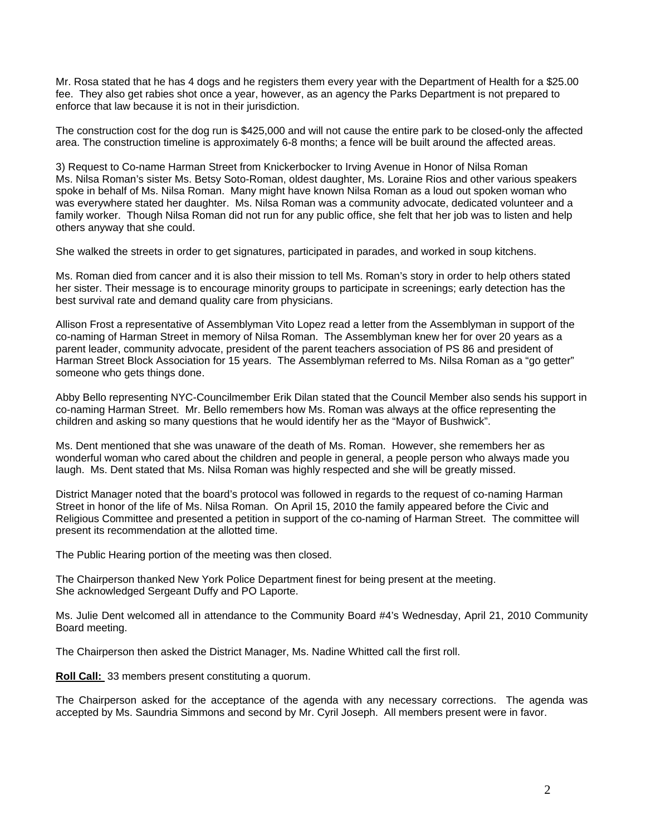Mr. Rosa stated that he has 4 dogs and he registers them every year with the Department of Health for a \$25.00 fee. They also get rabies shot once a year, however, as an agency the Parks Department is not prepared to enforce that law because it is not in their jurisdiction.

The construction cost for the dog run is \$425,000 and will not cause the entire park to be closed-only the affected area. The construction timeline is approximately 6-8 months; a fence will be built around the affected areas.

3) Request to Co-name Harman Street from Knickerbocker to Irving Avenue in Honor of Nilsa Roman Ms. Nilsa Roman's sister Ms. Betsy Soto-Roman, oldest daughter, Ms. Loraine Rios and other various speakers spoke in behalf of Ms. Nilsa Roman. Many might have known Nilsa Roman as a loud out spoken woman who was everywhere stated her daughter. Ms. Nilsa Roman was a community advocate, dedicated volunteer and a family worker. Though Nilsa Roman did not run for any public office, she felt that her job was to listen and help others anyway that she could.

She walked the streets in order to get signatures, participated in parades, and worked in soup kitchens.

Ms. Roman died from cancer and it is also their mission to tell Ms. Roman's story in order to help others stated her sister. Their message is to encourage minority groups to participate in screenings; early detection has the best survival rate and demand quality care from physicians.

Allison Frost a representative of Assemblyman Vito Lopez read a letter from the Assemblyman in support of the co-naming of Harman Street in memory of Nilsa Roman. The Assemblyman knew her for over 20 years as a parent leader, community advocate, president of the parent teachers association of PS 86 and president of Harman Street Block Association for 15 years. The Assemblyman referred to Ms. Nilsa Roman as a "go getter" someone who gets things done.

Abby Bello representing NYC-Councilmember Erik Dilan stated that the Council Member also sends his support in co-naming Harman Street. Mr. Bello remembers how Ms. Roman was always at the office representing the children and asking so many questions that he would identify her as the "Mayor of Bushwick".

Ms. Dent mentioned that she was unaware of the death of Ms. Roman. However, she remembers her as wonderful woman who cared about the children and people in general, a people person who always made you laugh. Ms. Dent stated that Ms. Nilsa Roman was highly respected and she will be greatly missed.

District Manager noted that the board's protocol was followed in regards to the request of co-naming Harman Street in honor of the life of Ms. Nilsa Roman. On April 15, 2010 the family appeared before the Civic and Religious Committee and presented a petition in support of the co-naming of Harman Street. The committee will present its recommendation at the allotted time.

The Public Hearing portion of the meeting was then closed.

The Chairperson thanked New York Police Department finest for being present at the meeting. She acknowledged Sergeant Duffy and PO Laporte.

Ms. Julie Dent welcomed all in attendance to the Community Board #4's Wednesday, April 21, 2010 Community Board meeting.

The Chairperson then asked the District Manager, Ms. Nadine Whitted call the first roll.

**Roll Call:** 33 members present constituting a quorum.

The Chairperson asked for the acceptance of the agenda with any necessary corrections. The agenda was accepted by Ms. Saundria Simmons and second by Mr. Cyril Joseph. All members present were in favor.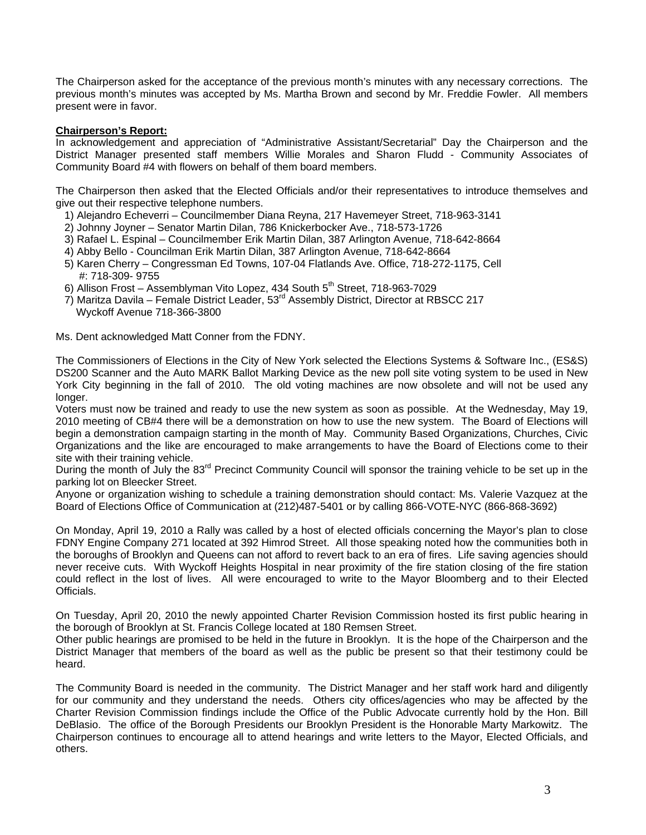The Chairperson asked for the acceptance of the previous month's minutes with any necessary corrections. The previous month's minutes was accepted by Ms. Martha Brown and second by Mr. Freddie Fowler. All members present were in favor.

## **Chairperson's Report:**

In acknowledgement and appreciation of "Administrative Assistant/Secretarial" Day the Chairperson and the District Manager presented staff members Willie Morales and Sharon Fludd - Community Associates of Community Board #4 with flowers on behalf of them board members.

The Chairperson then asked that the Elected Officials and/or their representatives to introduce themselves and give out their respective telephone numbers.

- 1) Alejandro Echeverri Councilmember Diana Reyna, 217 Havemeyer Street, 718-963-3141
- 2) Johnny Joyner Senator Martin Dilan, 786 Knickerbocker Ave., 718-573-1726
- 3) Rafael L. Espinal Councilmember Erik Martin Dilan, 387 Arlington Avenue, 718-642-8664
- 4) Abby Bello Councilman Erik Martin Dilan, 387 Arlington Avenue, 718-642-8664
- 5) Karen Cherry Congressman Ed Towns, 107-04 Flatlands Ave. Office, 718-272-1175, Cell #: 718-309- 9755
- 6) Allison Frost Assemblyman Vito Lopez, 434 South 5<sup>th</sup> Street, 718-963-7029
- 7) Maritza Davila Female District Leader, 53rd Assembly District, Director at RBSCC 217 Wyckoff Avenue 718-366-3800

Ms. Dent acknowledged Matt Conner from the FDNY.

The Commissioners of Elections in the City of New York selected the Elections Systems & Software Inc., (ES&S) DS200 Scanner and the Auto MARK Ballot Marking Device as the new poll site voting system to be used in New York City beginning in the fall of 2010. The old voting machines are now obsolete and will not be used any longer.

Voters must now be trained and ready to use the new system as soon as possible. At the Wednesday, May 19, 2010 meeting of CB#4 there will be a demonstration on how to use the new system. The Board of Elections will begin a demonstration campaign starting in the month of May. Community Based Organizations, Churches, Civic Organizations and the like are encouraged to make arrangements to have the Board of Elections come to their site with their training vehicle.

During the month of July the 83<sup>rd</sup> Precinct Community Council will sponsor the training vehicle to be set up in the parking lot on Bleecker Street.

Anyone or organization wishing to schedule a training demonstration should contact: Ms. Valerie Vazquez at the Board of Elections Office of Communication at (212)487-5401 or by calling 866-VOTE-NYC (866-868-3692)

On Monday, April 19, 2010 a Rally was called by a host of elected officials concerning the Mayor's plan to close FDNY Engine Company 271 located at 392 Himrod Street. All those speaking noted how the communities both in the boroughs of Brooklyn and Queens can not afford to revert back to an era of fires. Life saving agencies should never receive cuts. With Wyckoff Heights Hospital in near proximity of the fire station closing of the fire station could reflect in the lost of lives. All were encouraged to write to the Mayor Bloomberg and to their Elected **Officials** 

On Tuesday, April 20, 2010 the newly appointed Charter Revision Commission hosted its first public hearing in the borough of Brooklyn at St. Francis College located at 180 Remsen Street.

Other public hearings are promised to be held in the future in Brooklyn. It is the hope of the Chairperson and the District Manager that members of the board as well as the public be present so that their testimony could be heard.

The Community Board is needed in the community. The District Manager and her staff work hard and diligently for our community and they understand the needs. Others city offices/agencies who may be affected by the Charter Revision Commission findings include the Office of the Public Advocate currently hold by the Hon. Bill DeBlasio. The office of the Borough Presidents our Brooklyn President is the Honorable Marty Markowitz. The Chairperson continues to encourage all to attend hearings and write letters to the Mayor, Elected Officials, and others.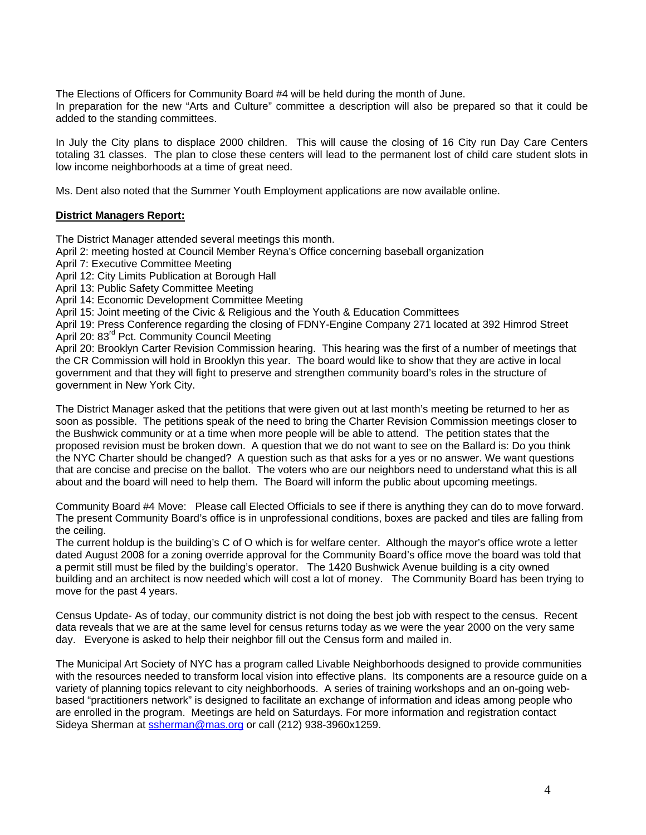The Elections of Officers for Community Board #4 will be held during the month of June.

In preparation for the new "Arts and Culture" committee a description will also be prepared so that it could be added to the standing committees.

In July the City plans to displace 2000 children. This will cause the closing of 16 City run Day Care Centers totaling 31 classes. The plan to close these centers will lead to the permanent lost of child care student slots in low income neighborhoods at a time of great need.

Ms. Dent also noted that the Summer Youth Employment applications are now available online.

## **District Managers Report:**

The District Manager attended several meetings this month.

April 2: meeting hosted at Council Member Reyna's Office concerning baseball organization

April 7: Executive Committee Meeting

April 12: City Limits Publication at Borough Hall

April 13: Public Safety Committee Meeting

April 14: Economic Development Committee Meeting

April 15: Joint meeting of the Civic & Religious and the Youth & Education Committees

April 19: Press Conference regarding the closing of FDNY-Engine Company 271 located at 392 Himrod Street April 20: 83<sup>rd</sup> Pct. Community Council Meeting

April 20: Brooklyn Carter Revision Commission hearing. This hearing was the first of a number of meetings that the CR Commission will hold in Brooklyn this year. The board would like to show that they are active in local government and that they will fight to preserve and strengthen community board's roles in the structure of government in New York City.

The District Manager asked that the petitions that were given out at last month's meeting be returned to her as soon as possible. The petitions speak of the need to bring the Charter Revision Commission meetings closer to the Bushwick community or at a time when more people will be able to attend. The petition states that the proposed revision must be broken down. A question that we do not want to see on the Ballard is: Do you think the NYC Charter should be changed? A question such as that asks for a yes or no answer. We want questions that are concise and precise on the ballot. The voters who are our neighbors need to understand what this is all about and the board will need to help them. The Board will inform the public about upcoming meetings.

Community Board #4 Move: Please call Elected Officials to see if there is anything they can do to move forward. The present Community Board's office is in unprofessional conditions, boxes are packed and tiles are falling from the ceiling.

The current holdup is the building's C of O which is for welfare center. Although the mayor's office wrote a letter dated August 2008 for a zoning override approval for the Community Board's office move the board was told that a permit still must be filed by the building's operator. The 1420 Bushwick Avenue building is a city owned building and an architect is now needed which will cost a lot of money. The Community Board has been trying to move for the past 4 years.

Census Update- As of today, our community district is not doing the best job with respect to the census. Recent data reveals that we are at the same level for census returns today as we were the year 2000 on the very same day. Everyone is asked to help their neighbor fill out the Census form and mailed in.

The Municipal Art Society of NYC has a program called Livable Neighborhoods designed to provide communities with the resources needed to transform local vision into effective plans. Its components are a resource guide on a variety of planning topics relevant to city neighborhoods. A series of training workshops and an on-going webbased "practitioners network" is designed to facilitate an exchange of information and ideas among people who are enrolled in the program. Meetings are held on Saturdays. For more information and registration contact Sideya Sherman at [ssherman@mas.org](mailto:ssherman@mas.org) or call (212) 938-3960x1259.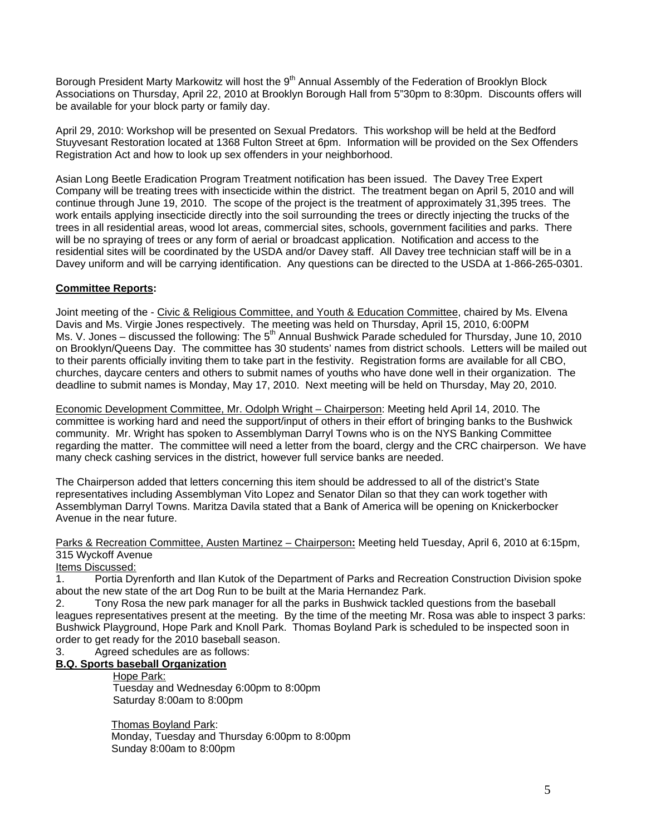Borough President Marty Markowitz will host the 9<sup>th</sup> Annual Assembly of the Federation of Brooklyn Block Associations on Thursday, April 22, 2010 at Brooklyn Borough Hall from 5"30pm to 8:30pm. Discounts offers will be available for your block party or family day.

April 29, 2010: Workshop will be presented on Sexual Predators. This workshop will be held at the Bedford Stuyvesant Restoration located at 1368 Fulton Street at 6pm. Information will be provided on the Sex Offenders Registration Act and how to look up sex offenders in your neighborhood.

Asian Long Beetle Eradication Program Treatment notification has been issued. The Davey Tree Expert Company will be treating trees with insecticide within the district. The treatment began on April 5, 2010 and will continue through June 19, 2010. The scope of the project is the treatment of approximately 31,395 trees. The work entails applying insecticide directly into the soil surrounding the trees or directly injecting the trucks of the trees in all residential areas, wood lot areas, commercial sites, schools, government facilities and parks. There will be no spraying of trees or any form of aerial or broadcast application. Notification and access to the residential sites will be coordinated by the USDA and/or Davey staff. All Davey tree technician staff will be in a Davey uniform and will be carrying identification. Any questions can be directed to the USDA at 1-866-265-0301.

## **Committee Reports:**

Joint meeting of the - Civic & Religious Committee, and Youth & Education Committee, chaired by Ms. Elvena Davis and Ms. Virgie Jones respectively. The meeting was held on Thursday, April 15, 2010, 6:00PM Ms. V. Jones – discussed the following: The 5<sup>th</sup> Annual Bushwick Parade scheduled for Thursday, June 10, 2010 on Brooklyn/Queens Day. The committee has 30 students' names from district schools. Letters will be mailed out to their parents officially inviting them to take part in the festivity. Registration forms are available for all CBO, churches, daycare centers and others to submit names of youths who have done well in their organization. The deadline to submit names is Monday, May 17, 2010. Next meeting will be held on Thursday, May 20, 2010.

Economic Development Committee, Mr. Odolph Wright – Chairperson: Meeting held April 14, 2010. The committee is working hard and need the support/input of others in their effort of bringing banks to the Bushwick community. Mr. Wright has spoken to Assemblyman Darryl Towns who is on the NYS Banking Committee regarding the matter. The committee will need a letter from the board, clergy and the CRC chairperson. We have many check cashing services in the district, however full service banks are needed.

The Chairperson added that letters concerning this item should be addressed to all of the district's State representatives including Assemblyman Vito Lopez and Senator Dilan so that they can work together with Assemblyman Darryl Towns. Maritza Davila stated that a Bank of America will be opening on Knickerbocker Avenue in the near future.

Parks & Recreation Committee, Austen Martinez – Chairperson**:** Meeting held Tuesday, April 6, 2010 at 6:15pm, 315 Wyckoff Avenue

## Items Discussed:

1. Portia Dyrenforth and Ilan Kutok of the Department of Parks and Recreation Construction Division spoke about the new state of the art Dog Run to be built at the Maria Hernandez Park.

2. Tony Rosa the new park manager for all the parks in Bushwick tackled questions from the baseball leagues representatives present at the meeting. By the time of the meeting Mr. Rosa was able to inspect 3 parks: Bushwick Playground, Hope Park and Knoll Park. Thomas Boyland Park is scheduled to be inspected soon in order to get ready for the 2010 baseball season.

3. Agreed schedules are as follows:

# **B.Q. Sports baseball Organization**

### Hope Park:

Tuesday and Wednesday 6:00pm to 8:00pm Saturday 8:00am to 8:00pm

 Thomas Boyland Park: Monday, Tuesday and Thursday 6:00pm to 8:00pm Sunday 8:00am to 8:00pm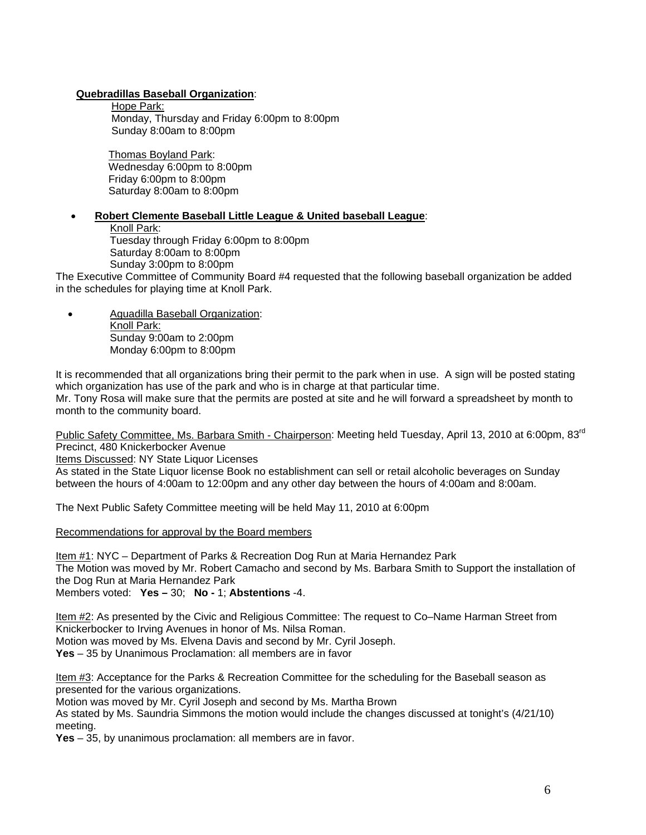## **Quebradillas Baseball Organization**:

Hope Park: Monday, Thursday and Friday 6:00pm to 8:00pm Sunday 8:00am to 8:00pm

 Thomas Boyland Park: Wednesday 6:00pm to 8:00pm Friday 6:00pm to 8:00pm Saturday 8:00am to 8:00pm

## • **Robert Clemente Baseball Little League & United baseball League**:

Knoll Park:

Tuesday through Friday 6:00pm to 8:00pm Saturday 8:00am to 8:00pm Sunday 3:00pm to 8:00pm

The Executive Committee of Community Board #4 requested that the following baseball organization be added in the schedules for playing time at Knoll Park.

• Aguadilla Baseball Organization: Knoll Park: Sunday 9:00am to 2:00pm Monday 6:00pm to 8:00pm

It is recommended that all organizations bring their permit to the park when in use. A sign will be posted stating which organization has use of the park and who is in charge at that particular time.

Mr. Tony Rosa will make sure that the permits are posted at site and he will forward a spreadsheet by month to month to the community board.

Public Safety Committee, Ms. Barbara Smith - Chairperson: Meeting held Tuesday, April 13, 2010 at 6:00pm, 83<sup>rd</sup> Precinct, 480 Knickerbocker Avenue

Items Discussed: NY State Liquor Licenses

As stated in the State Liquor license Book no establishment can sell or retail alcoholic beverages on Sunday between the hours of 4:00am to 12:00pm and any other day between the hours of 4:00am and 8:00am.

The Next Public Safety Committee meeting will be held May 11, 2010 at 6:00pm

#### Recommendations for approval by the Board members

Item #1: NYC – Department of Parks & Recreation Dog Run at Maria Hernandez Park The Motion was moved by Mr. Robert Camacho and second by Ms. Barbara Smith to Support the installation of the Dog Run at Maria Hernandez Park Members voted: **Yes –** 30; **No -** 1; **Abstentions** -4.

Item #2: As presented by the Civic and Religious Committee: The request to Co–Name Harman Street from Knickerbocker to Irving Avenues in honor of Ms. Nilsa Roman.

Motion was moved by Ms. Elvena Davis and second by Mr. Cyril Joseph.

**Yes** – 35 by Unanimous Proclamation: all members are in favor

Item #3: Acceptance for the Parks & Recreation Committee for the scheduling for the Baseball season as presented for the various organizations.

Motion was moved by Mr. Cyril Joseph and second by Ms. Martha Brown

As stated by Ms. Saundria Simmons the motion would include the changes discussed at tonight's (4/21/10) meeting.

**Yes** – 35, by unanimous proclamation: all members are in favor.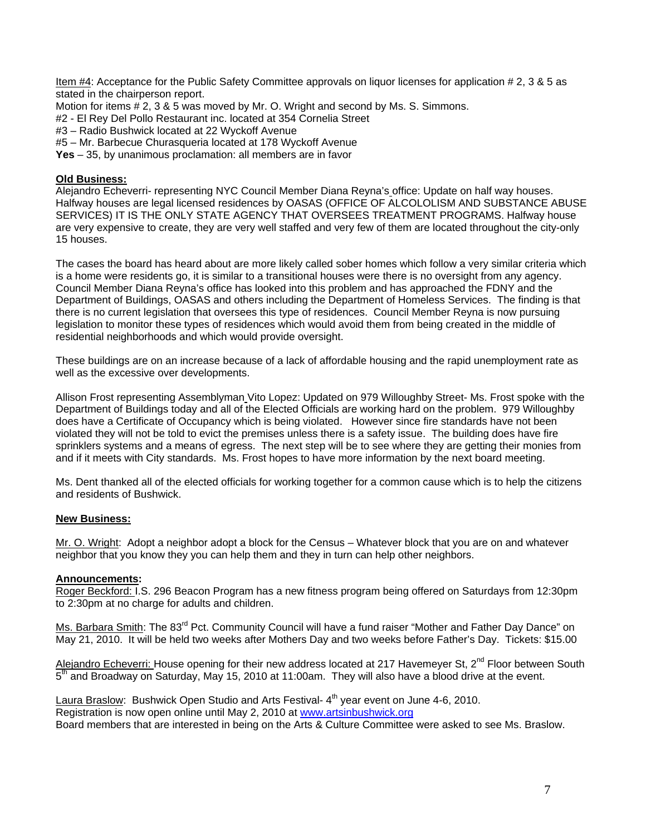Item #4: Acceptance for the Public Safety Committee approvals on liquor licenses for application # 2, 3 & 5 as stated in the chairperson report.

Motion for items # 2, 3 & 5 was moved by Mr. O. Wright and second by Ms. S. Simmons.

#2 - El Rey Del Pollo Restaurant inc. located at 354 Cornelia Street

#3 – Radio Bushwick located at 22 Wyckoff Avenue

#5 – Mr. Barbecue Churasqueria located at 178 Wyckoff Avenue

**Yes** – 35, by unanimous proclamation: all members are in favor

## **Old Business:**

Alejandro Echeverri- representing NYC Council Member Diana Reyna's office: Update on half way houses. Halfway houses are legal licensed residences by OASAS (OFFICE OF ALCOLOLISM AND SUBSTANCE ABUSE SERVICES) IT IS THE ONLY STATE AGENCY THAT OVERSEES TREATMENT PROGRAMS. Halfway house are very expensive to create, they are very well staffed and very few of them are located throughout the city-only 15 houses.

The cases the board has heard about are more likely called sober homes which follow a very similar criteria which is a home were residents go, it is similar to a transitional houses were there is no oversight from any agency. Council Member Diana Reyna's office has looked into this problem and has approached the FDNY and the Department of Buildings, OASAS and others including the Department of Homeless Services. The finding is that there is no current legislation that oversees this type of residences. Council Member Reyna is now pursuing legislation to monitor these types of residences which would avoid them from being created in the middle of residential neighborhoods and which would provide oversight.

These buildings are on an increase because of a lack of affordable housing and the rapid unemployment rate as well as the excessive over developments.

Allison Frost representing Assemblyman Vito Lopez: Updated on 979 Willoughby Street- Ms. Frost spoke with the Department of Buildings today and all of the Elected Officials are working hard on the problem. 979 Willoughby does have a Certificate of Occupancy which is being violated. However since fire standards have not been violated they will not be told to evict the premises unless there is a safety issue. The building does have fire sprinklers systems and a means of egress. The next step will be to see where they are getting their monies from and if it meets with City standards. Ms. Frost hopes to have more information by the next board meeting.

Ms. Dent thanked all of the elected officials for working together for a common cause which is to help the citizens and residents of Bushwick.

#### **New Business:**

Mr. O. Wright: Adopt a neighbor adopt a block for the Census – Whatever block that you are on and whatever neighbor that you know they you can help them and they in turn can help other neighbors.

#### **Announcements:**

Roger Beckford: I.S. 296 Beacon Program has a new fitness program being offered on Saturdays from 12:30pm to 2:30pm at no charge for adults and children.

Ms. Barbara Smith: The 83<sup>rd</sup> Pct. Community Council will have a fund raiser "Mother and Father Day Dance" on May 21, 2010. It will be held two weeks after Mothers Day and two weeks before Father's Day. Tickets: \$15.00

Alejandro Echeverri: House opening for their new address located at 217 Havemeyer St, 2<sup>nd</sup> Floor between South  $5<sup>th</sup>$  and Broadway on Saturday, May 15, 2010 at 11:00am. They will also have a blood drive at the event.

Laura Braslow: Bushwick Open Studio and Arts Festival-4<sup>th</sup> year event on June 4-6, 2010. Registration is now open online until May 2, 2010 at [www.artsinbushwick.org](http://www.artsinbushwick.org/)  Board members that are interested in being on the Arts & Culture Committee were asked to see Ms. Braslow.